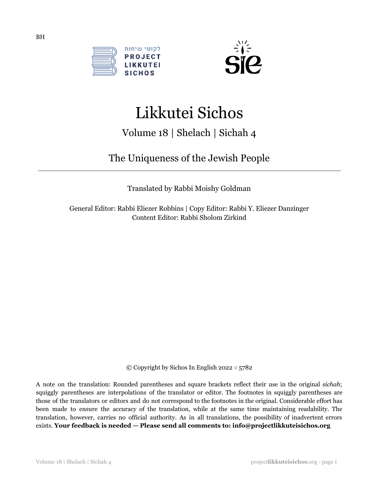



# Likkutei Sichos

# Volume 18 | Shelach | Sichah 4

# The Uniqueness of the Jewish People

Translated by Rabbi Moishy Goldman

General Editor: Rabbi Eliezer Robbins | Copy Editor: Rabbi Y. Eliezer Danzinger Content Editor: Rabbi Sholom Zirkind

© Copyright by Sichos In English 2022 ○ 5782

A note on the translation: Rounded parentheses and square brackets reflect their use in the original *sichah*; squiggly parentheses are interpolations of the translator or editor. The footnotes in squiggly parentheses are those of the translators or editors and do not correspond to the footnotes in the original. Considerable effort has been made to ensure the accuracy of the translation, while at the same time maintaining readability. The translation, however, carries no official authority. As in all translations, the possibility of inadvertent errors exists. **Your feedback is needed — Please send all comments to: info@projectlikkuteisichos.org**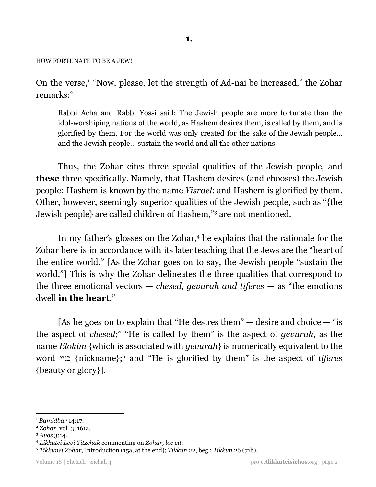#### HOW FORTUNATE TO BE A JEW!

On the verse,<sup>1</sup> "Now, please, let the strength of Ad-nai be increased," the Zohar remarks: 2

Rabbi Acha and Rabbi Yossi said: The Jewish people are more fortunate than the idol-worshiping nations of the world, as Hashem desires them, is called by them, and is glorified by them. For the world was only created for the sake of the Jewish people… and the Jewish people… sustain the world and all the other nations.

Thus, the Zohar cites three special qualities of the Jewish people, and **these** three specifically. Namely, that Hashem desires (and chooses) the Jewish people; Hashem is known by the name *Yisrael*; and Hashem is glorified by them. Other, however, seemingly superior qualities of the Jewish people, such as "{the Jewish people} are called children of Hashem,"<sup>3</sup> are not mentioned.

In my father's glosses on the Zohar,<sup>4</sup> he explains that the rationale for the Zohar here is in accordance with its later teaching that the Jews are the "heart of the entire world." [As the Zohar goes on to say, the Jewish people "sustain the world."] This is why the Zohar delineates the three qualities that correspond to the three emotional vectors — *chesed, gevurah and tiferes* — as "the emotions dwell **in the heart**."

[As he goes on to explain that "He desires them"  $-$  desire and choice  $-$  "is the aspect of *chesed*;" "He is called by them" is the aspect of *gevurah*, as the name *Elokim* {which is associated with *gevurah*} is numerically equivalent to the word כנוי} nickname}; and "He is glorified by them" is the aspect of *tiferes* 5 {beauty or glory}].

<sup>3</sup> *Avos* 3:14.

<sup>1</sup> *Bamidbar* 14:17.

<sup>2</sup> *Zohar*, vol. 3, 161a.

<sup>4</sup> *Likkutei Levi Yitzchak* commenting on *Zohar, loc cit.*

<sup>5</sup> *Tikkunei Zohar*, Introduction (15a, at the end); *Tikkun* 22, beg.; *Tikkun* 26 (71b).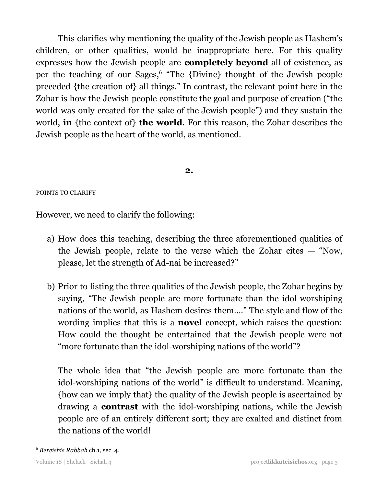This clarifies why mentioning the quality of the Jewish people as Hashem's children, or other qualities, would be inappropriate here. For this quality expresses how the Jewish people are **completely beyond** all of existence, as per the teaching of our Sages,<sup>6</sup> "The {Divine} thought of the Jewish people preceded {the creation of} all things." In contrast, the relevant point here in the Zohar is how the Jewish people constitute the goal and purpose of creation ("the world was only created for the sake of the Jewish people") and they sustain the world, **in** {the context of} **the world**. For this reason, the Zohar describes the Jewish people as the heart of the world, as mentioned.

# **2.**

# POINTS TO CLARIFY

However, we need to clarify the following:

- a) How does this teaching, describing the three aforementioned qualities of the Jewish people, relate to the verse which the Zohar cites — "Now, please, let the strength of Ad-nai be increased?"
- b) Prior to listing the three qualities of the Jewish people, the Zohar begins by saying, "The Jewish people are more fortunate than the idol-worshiping nations of the world, as Hashem desires them…." The style and flow of the wording implies that this is a **novel** concept, which raises the question: How could the thought be entertained that the Jewish people were not "more fortunate than the idol-worshiping nations of the world"?

The whole idea that "the Jewish people are more fortunate than the idol-worshiping nations of the world" is difficult to understand. Meaning, {how can we imply that} the quality of the Jewish people is ascertained by drawing a **contrast** with the idol-worshiping nations, while the Jewish people are of an entirely different sort; they are exalted and distinct from the nations of the world!

<sup>6</sup> *Bereishis Rabbah* ch.1, sec. 4.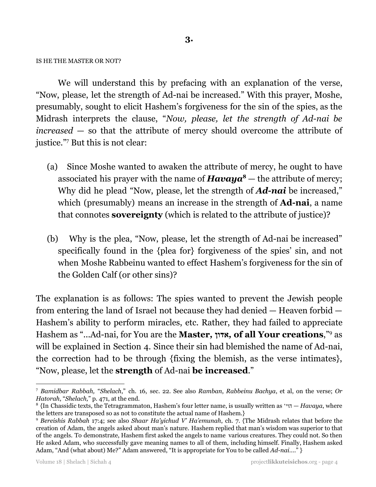#### IS HE THE MASTER OR NOT?

We will understand this by prefacing with an explanation of the verse, "Now, please, let the strength of Ad-nai be increased." With this prayer, Moshe, presumably, sought to elicit Hashem's forgiveness for the sin of the spies, as the Midrash interprets the clause, "*Now, please, let the strength of Ad-nai be increased* — so that the attribute of mercy should overcome the attribute of justice."<sup>7</sup> But this is not clear:

- (a) Since Moshe wanted to awaken the attribute of mercy, he ought to have associated his prayer with the name of  $Havaya^8$  — the attribute of mercy; Why did he plead "Now, please, let the strength of *Ad-nai* be increased," which (presumably) means an increase in the strength of **Ad-nai**, a name that connotes **sovereignty** (which is related to the attribute of justice)?
- (b) Why is the plea, "Now, please, let the strength of Ad-nai be increased" specifically found in the {plea for} forgiveness of the spies' sin, and not when Moshe Rabbeinu wanted to effect Hashem's forgiveness for the sin of the Golden Calf (or other sins)?

The explanation is as follows: The spies wanted to prevent the Jewish people from entering the land of Israel not because they had denied — Heaven forbid — Hashem's ability to perform miracles, etc. Rather, they had failed to appreciate Hashem as "...Ad-nai, for You are the **Master***,* **אדון***,* **of all Your creations**," as 9 will be explained in Section 4. Since their sin had blemished the name of Ad-nai, the correction had to be through {fixing the blemish, as the verse intimates}, "Now, please, let the **strength** of Ad-nai **be increased**."

<sup>7</sup> *Bamidbar Rabbah,* "*Shelach*," ch. 16, sec. 22. See also *Ramban*, *Rabbeinu Bachya*, et al, on the verse; *Or Hatorah*, "*Shelach,*" p. 471, at the end.

<sup>8</sup> {In Chassidic texts, the Tetragrammaton, Hashem's four letter name, is usually written as 'הוי — *Havaya*, where the letters are transposed so as not to constitute the actual name of Hashem.}

<sup>9</sup> *Bereishis Rabbah* 17:4; see also *Shaar Ha'yichud V' Ha'emunah*, ch. 7. {The Midrash relates that before the creation of Adam, the angels asked about man's nature. Hashem replied that man's wisdom was superior to that of the angels. To demonstrate, Hashem first asked the angels to name various creatures. They could not. So then He asked Adam, who successfully gave meaning names to all of them, including himself. Finally, Hashem asked Adam, "And (what about) Me?" Adam answered, "It is appropriate for You to be called *Ad-nai*…." }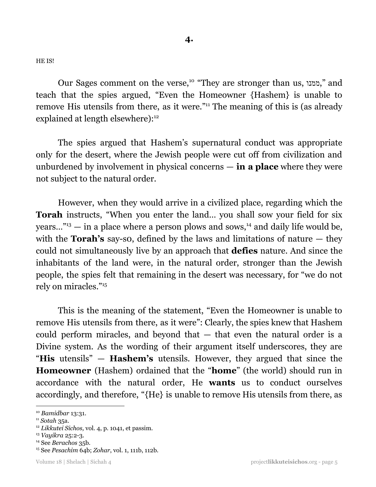HE IS!

Our Sages comment on the verse,<sup>10</sup> "They are stronger than us, "ממנו," and teach that the spies argued, "Even the Homeowner {Hashem} is unable to remove His utensils from there, as it were."<sup>11</sup> The meaning of this is (as already explained at length elsewhere):<sup>12</sup>

The spies argued that Hashem's supernatural conduct was appropriate only for the desert, where the Jewish people were cut off from civilization and unburdened by involvement in physical concerns — **in a place** where they were not subject to the natural order.

However, when they would arrive in a civilized place, regarding which the **Torah** instructs, "When you enter the land… you shall sow your field for six years..." $^{13}$  – in a place where a person plows and sows, $^{14}$  and daily life would be, with the **Torah's** say-so, defined by the laws and limitations of nature — they could not simultaneously live by an approach that **defies** nature. And since the inhabitants of the land were, in the natural order, stronger than the Jewish people, the spies felt that remaining in the desert was necessary, for "we do not rely on miracles." 15

This is the meaning of the statement, "Even the Homeowner is unable to remove His utensils from there, as it were": Clearly, the spies knew that Hashem could perform miracles, and beyond that — that even the natural order is a Divine system. As the wording of their argument itself underscores, they are "**His** utensils" — **Hashem's** utensils. However, they argued that since the **Homeowner** (Hashem) ordained that the "**home**" (the world) should run in accordance with the natural order, He **wants** us to conduct ourselves accordingly, and therefore, "{He} is unable to remove His utensils from there, as

<sup>10</sup> *Bamidbar* 13:31.

<sup>11</sup> *Sotah* 35a.

<sup>12</sup> *Likkutei Sichos,* vol. 4, p. 1041, et passim.

<sup>13</sup> *Vayikra* 25:2-3.

<sup>14</sup> See *Berachos* 35b.

<sup>15</sup> See *Pesachim* 64b; *Zohar*, vol. 1, 111b, 112b.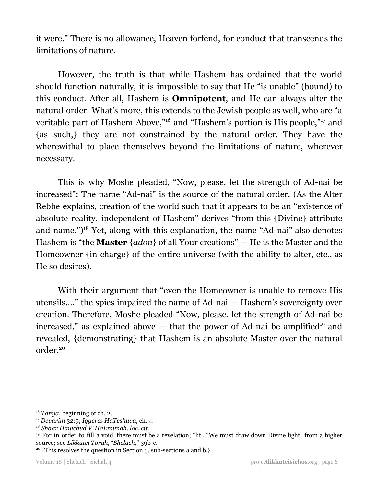it were." There is no allowance, Heaven forfend, for conduct that transcends the limitations of nature.

However, the truth is that while Hashem has ordained that the world should function naturally, it is impossible to say that He "is unable" (bound) to this conduct. After all, Hashem is **Omnipotent**, and He can always alter the natural order. What's more, this extends to the Jewish people as well, who are "a veritable part of Hashem Above,"<sup>16</sup> and "Hashem's portion is His people,"<sup>17</sup> and {as such,} they are not constrained by the natural order. They have the wherewithal to place themselves beyond the limitations of nature, wherever necessary.

This is why Moshe pleaded, "Now, please, let the strength of Ad-nai be increased": The name "Ad-nai" is the source of the natural order. (As the Alter Rebbe explains, creation of the world such that it appears to be an "existence of absolute reality, independent of Hashem" derives "from this {Divine} attribute and name.")<sup>18</sup> Yet, along with this explanation, the name "Ad-nai" also denotes Hashem is "the **Master** {*adon*} of all Your creations" — He is the Master and the Homeowner {in charge} of the entire universe (with the ability to alter, etc., as He so desires).

With their argument that "even the Homeowner is unable to remove His utensils…," the spies impaired the name of Ad-nai — Hashem's sovereignty over creation. Therefore, Moshe pleaded "Now, please, let the strength of Ad-nai be increased," as explained above  $-$  that the power of Ad-nai be amplified<sup>19</sup> and revealed, {demonstrating} that Hashem is an absolute Master over the natural order. 20

<sup>16</sup> *Tanya*, beginning of ch. 2.

<sup>17</sup> *Devarim* 32:9; *Iggeres HaTeshuva*, ch. 4.

<sup>18</sup> *Shaar Hayichud V' HaEmunah*, *loc. cit*.

<sup>&</sup>lt;sup>19</sup> For in order to fill a void, there must be a revelation; "lit., "We must draw down Divine light" from a higher source; see *Likkutei Torah*, "*Shelach*," 39b-c.

<sup>&</sup>lt;sup>20</sup> {This resolves the question in Section 3, sub-sections a and b.}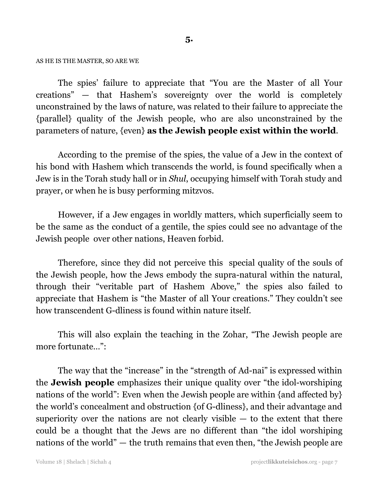#### AS HE IS THE MASTER, SO ARE WE

The spies' failure to appreciate that "You are the Master of all Your creations" — that Hashem's sovereignty over the world is completely unconstrained by the laws of nature, was related to their failure to appreciate the {parallel} quality of the Jewish people, who are also unconstrained by the parameters of nature, {even} **as the Jewish people exist within the world**.

According to the premise of the spies, the value of a Jew in the context of his bond with Hashem which transcends the world, is found specifically when a Jew is in the Torah study hall or in *Shul*, occupying himself with Torah study and prayer, or when he is busy performing mitzvos.

However, if a Jew engages in worldly matters, which superficially seem to be the same as the conduct of a gentile, the spies could see no advantage of the Jewish people over other nations, Heaven forbid.

Therefore, since they did not perceive this special quality of the souls of the Jewish people, how the Jews embody the supra-natural within the natural, through their "veritable part of Hashem Above," the spies also failed to appreciate that Hashem is "the Master of all Your creations." They couldn't see how transcendent G-dliness is found within nature itself.

This will also explain the teaching in the Zohar, "The Jewish people are more fortunate…":

The way that the "increase" in the "strength of Ad-nai" is expressed within the **Jewish people** emphasizes their unique quality over "the idol-worshiping nations of the world": Even when the Jewish people are within {and affected by} the world's concealment and obstruction {of G-dliness}, and their advantage and superiority over the nations are not clearly visible  $-$  to the extent that there could be a thought that the Jews are no different than "the idol worshiping nations of the world" — the truth remains that even then, "the Jewish people are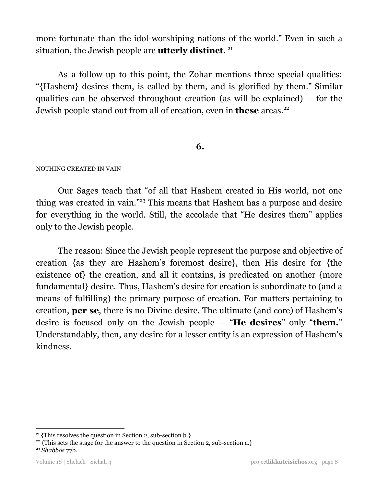more fortunate than the idol-worshiping nations of the world." Even in such a situation, the Jewish people are **utterly distinct**. 21

As a follow-up to this point, the Zohar mentions three special qualities: "{Hashem} desires them, is called by them, and is glorified by them." Similar qualities can be observed throughout creation (as will be explained) — for the Jewish people stand out from all of creation, even in **these** areas. 22

# **6.**

## NOTHING CREATED IN VAIN

Our Sages teach that "of all that Hashem created in His world, not one thing was created in vain."<sup>23</sup> This means that Hashem has a purpose and desire for everything in the world. Still, the accolade that "He desires them" applies only to the Jewish people.

The reason: Since the Jewish people represent the purpose and objective of creation {as they are Hashem's foremost desire}, then His desire for {the existence of} the creation, and all it contains, is predicated on another {more fundamental} desire. Thus, Hashem's desire for creation is subordinate to (and a means of fulfilling) the primary purpose of creation. For matters pertaining to creation, **per se**, there is no Divine desire. The ultimate (and core) of Hashem's desire is focused only on the Jewish people — "**He desires**" only "**them.**" Understandably, then, any desire for a lesser entity is an expression of Hashem's kindness.

<sup>&</sup>lt;sup>21</sup> {This resolves the question in Section 2, sub-section b.}

<sup>&</sup>lt;sup>22</sup> {This sets the stage for the answer to the question in Section 2, sub-section a.}

<sup>23</sup> *Shabbos* 77b.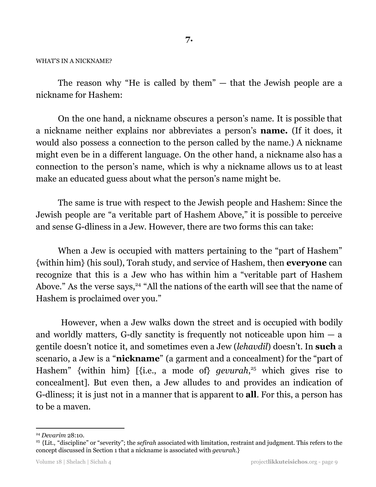#### WHAT'S IN A NICKNAME?

The reason why "He is called by them" — that the Jewish people are a nickname for Hashem:

On the one hand, a nickname obscures a person's name. It is possible that a nickname neither explains nor abbreviates a person's **name.** (If it does, it would also possess a connection to the person called by the name.) A nickname might even be in a different language. On the other hand, a nickname also has a connection to the person's name, which is why a nickname allows us to at least make an educated guess about what the person's name might be.

The same is true with respect to the Jewish people and Hashem: Since the Jewish people are "a veritable part of Hashem Above," it is possible to perceive and sense G-dliness in a Jew. However, there are two forms this can take:

When a Jew is occupied with matters pertaining to the "part of Hashem" {within him} (his soul), Torah study, and service of Hashem, then **everyone** can recognize that this is a Jew who has within him a "veritable part of Hashem Above." As the verse says,<sup>24</sup> "All the nations of the earth will see that the name of Hashem is proclaimed over you."

However, when a Jew walks down the street and is occupied with bodily and worldly matters, G-dly sanctity is frequently not noticeable upon him  $-$  a gentile doesn't notice it, and sometimes even a Jew (*lehavdil*) doesn't. In **such** a scenario, a Jew is a "**nickname**" (a garment and a concealment) for the "part of Hashem" {within him} [{i.e., a mode of} *gevurah*,<sup>25</sup> which gives rise to concealment]. But even then, a Jew alludes to and provides an indication of G-dliness; it is just not in a manner that is apparent to **all**. For this, a person has to be a maven.

<sup>24</sup> *Devarim* 28:10.

<sup>25</sup> {Lit., "discipline" or "severity"; the *sefirah* associated with limitation, restraint and judgment. This refers to the concept discussed in Section 1 that a nickname is associated with *gevurah.*}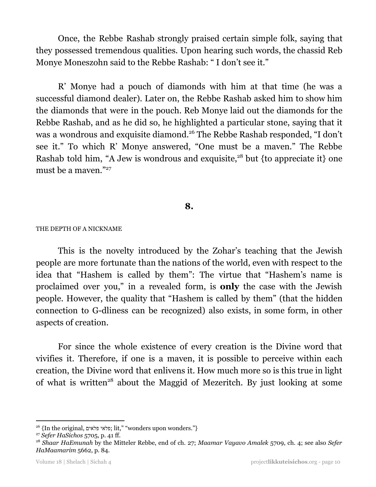Once, the Rebbe Rashab strongly praised certain simple folk, saying that they possessed tremendous qualities. Upon hearing such words, the chassid Reb Monye Moneszohn said to the Rebbe Rashab: " I don't see it."

R' Monye had a pouch of diamonds with him at that time (he was a successful diamond dealer). Later on, the Rebbe Rashab asked him to show him the diamonds that were in the pouch. Reb Monye laid out the diamonds for the Rebbe Rashab, and as he did so, he highlighted a particular stone, saying that it was a wondrous and exquisite diamond.<sup>26</sup> The Rebbe Rashab responded, "I don't see it." To which R' Monye answered, "One must be a maven." The Rebbe Rashab told him, "A Jew is wondrous and exquisite,<sup>28</sup> but {to appreciate it} one must be a maven." 27

# **8.**

#### THE DEPTH OF A NICKNAME

This is the novelty introduced by the Zohar's teaching that the Jewish people are more fortunate than the nations of the world, even with respect to the idea that "Hashem is called by them": The virtue that "Hashem's name is proclaimed over you," in a revealed form, is **only** the case with the Jewish people. However, the quality that "Hashem is called by them" (that the hidden connection to G-dliness can be recognized) also exists, in some form, in other aspects of creation.

For since the whole existence of every creation is the Divine word that vivifies it. Therefore, if one is a maven, it is possible to perceive within each creation, the Divine word that enlivens it. How much more so is this true in light of what is written<sup>28</sup> about the Maggid of Mezeritch. By just looking at some

<sup>&</sup>lt;sup>26</sup> {In the original, פלאי פלאים; lit," "wonders upon wonders."}

<sup>27</sup> *Sefer HaSichos* 5705, p. 41 ff.

<sup>28</sup> *Shaar HaEmunah* by the Mitteler Rebbe, end of ch. 27; *Maamar Vayavo Amalek* 5709, ch. 4; see also *Sefer HaMaamarim* 5662, p. 84.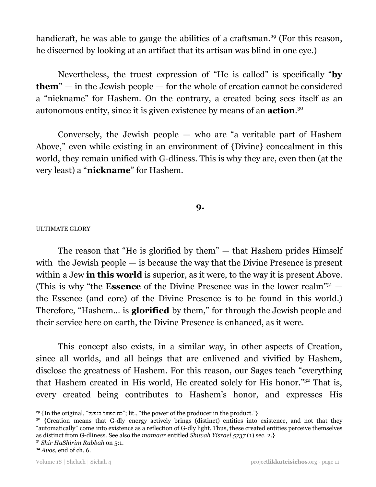handicraft, he was able to gauge the abilities of a craftsman.<sup>29</sup> (For this reason, he discerned by looking at an artifact that its artisan was blind in one eye.)

Nevertheless, the truest expression of "He is called" is specifically "**by them**" — in the Jewish people — for the whole of creation cannot be considered a "nickname" for Hashem. On the contrary, a created being sees itself as an autonomous entity, since it is given existence by means of an **action**. 30

Conversely, the Jewish people — who are "a veritable part of Hashem Above," even while existing in an environment of {Divine} concealment in this world, they remain unified with G-dliness. This is why they are, even then (at the very least) a "**nickname**" for Hashem.

# **9.**

## ULTIMATE GLORY

The reason that "He is glorified by them" — that Hashem prides Himself with the Jewish people — is because the way that the Divine Presence is present within a Jew **in this world** is superior, as it were, to the way it is present Above. (This is why "the **Essence** of the Divine Presence was in the lower realm" <sup>31</sup> the Essence (and core) of the Divine Presence is to be found in this world.) Therefore, "Hashem… is **glorified** by them," for through the Jewish people and their service here on earth, the Divine Presence is enhanced, as it were.

This concept also exists, in a similar way, in other aspects of Creation, since all worlds, and all beings that are enlivened and vivified by Hashem, disclose the greatness of Hashem. For this reason, our Sages teach "everything that Hashem created in His world, He created solely for His honor."<sup>32</sup> That is, every created being contributes to Hashem's honor, and expresses His

<sup>31</sup> *Shir HaShirim Rabbah* on 5:1.

<sup>29</sup> {In the original, "בנפעל הפועל כח ;"lit., "the power of the producer in the product."}

<sup>&</sup>lt;sup>30</sup> {Creation means that G-dly energy actively brings (distinct) entities into existence, and not that they "automatically" come into existence as a reflection of G-dly light. Thus, these created entities perceive themselves as distinct from G-dliness. See also the *mamaar* entitled *Shuvah Yisrael 5737* (1) sec. 2.}

<sup>32</sup> *Avos*, end of ch. 6.